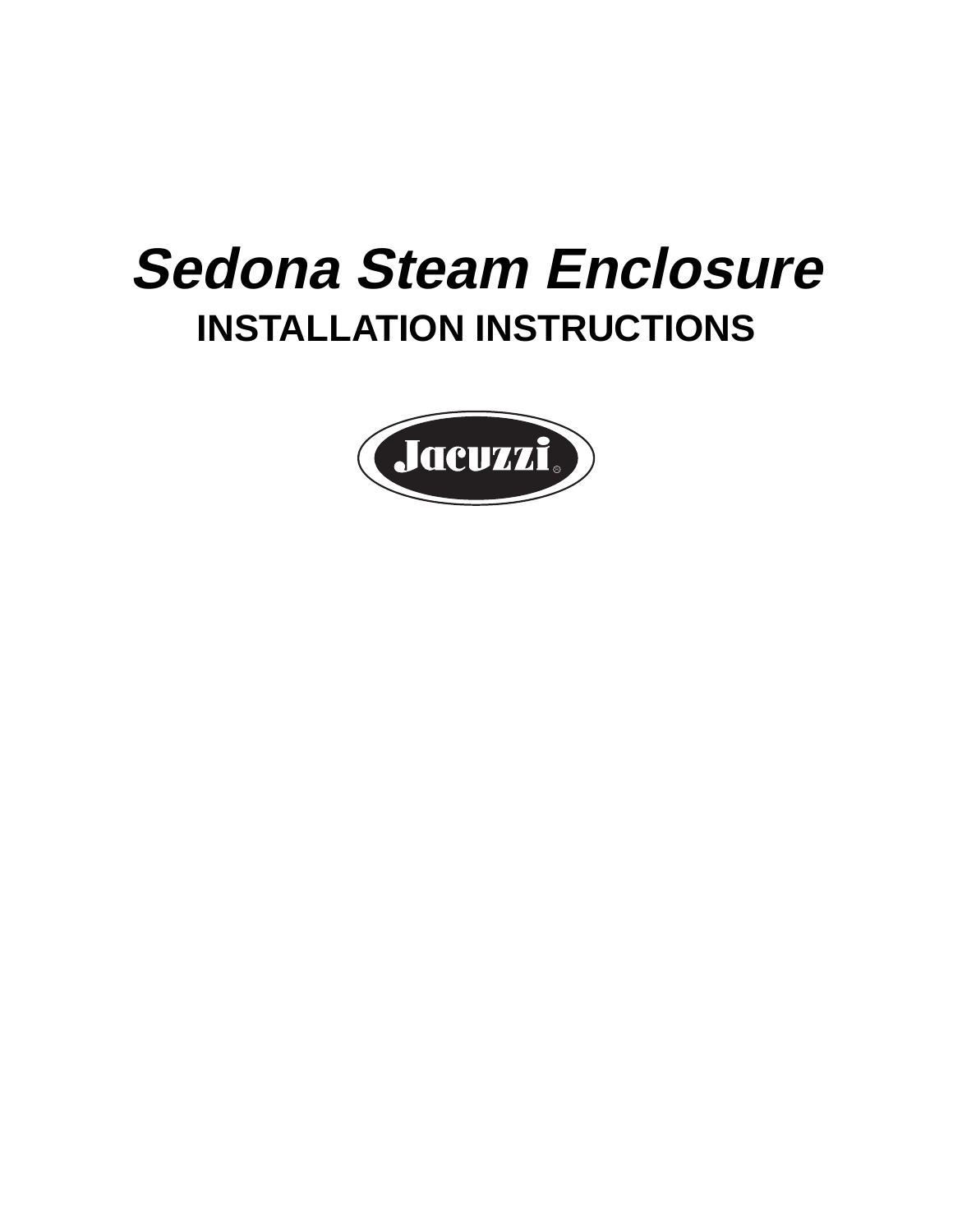# **Sedona Steam Enclosure INSTALLATION INSTRUCTIONS**

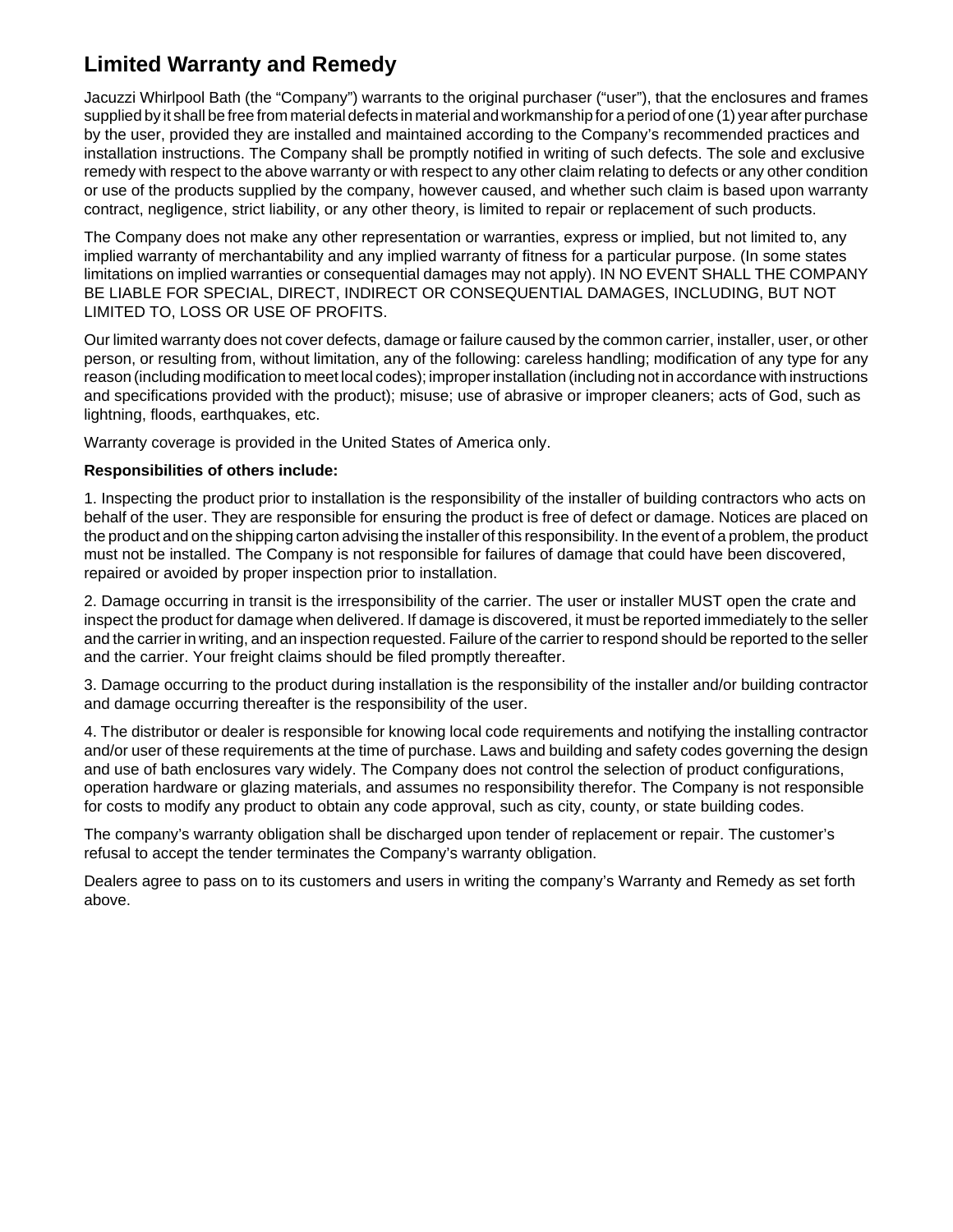# **Limited Warranty and Remedy**

Jacuzzi Whirlpool Bath (the "Company") warrants to the original purchaser ("user"), that the enclosures and frames supplied by it shall be free from material defects in material and workmanship for a period of one (1) year after purchase by the user, provided they are installed and maintained according to the Company's recommended practices and installation instructions. The Company shall be promptly notified in writing of such defects. The sole and exclusive remedy with respect to the above warranty or with respect to any other claim relating to defects or any other condition or use of the products supplied by the company, however caused, and whether such claim is based upon warranty contract, negligence, strict liability, or any other theory, is limited to repair or replacement of such products.

The Company does not make any other representation or warranties, express or implied, but not limited to, any implied warranty of merchantability and any implied warranty of fitness for a particular purpose. (In some states limitations on implied warranties or consequential damages may not apply). IN NO EVENT SHALL THE COMPANY BE LIABLE FOR SPECIAL, DIRECT, INDIRECT OR CONSEQUENTIAL DAMAGES, INCLUDING, BUT NOT LIMITED TO, LOSS OR USE OF PROFITS.

Our limited warranty does not cover defects, damage or failure caused by the common carrier, installer, user, or other person, or resulting from, without limitation, any of the following: careless handling; modification of any type for any reason (including modification to meet local codes); improper installation (including not in accordance with instructions and specifications provided with the product); misuse; use of abrasive or improper cleaners; acts of God, such as lightning, floods, earthquakes, etc.

Warranty coverage is provided in the United States of America only.

#### **Responsibilities of others include:**

1. Inspecting the product prior to installation is the responsibility of the installer of building contractors who acts on behalf of the user. They are responsible for ensuring the product is free of defect or damage. Notices are placed on the product and on the shipping carton advising the installer of this responsibility. In the event of a problem, the product must not be installed. The Company is not responsible for failures of damage that could have been discovered, repaired or avoided by proper inspection prior to installation.

2. Damage occurring in transit is the irresponsibility of the carrier. The user or installer MUST open the crate and inspect the product for damage when delivered. If damage is discovered, it must be reported immediately to the seller and the carrier in writing, and an inspection requested. Failure of the carrier to respond should be reported to the seller and the carrier. Your freight claims should be filed promptly thereafter.

3. Damage occurring to the product during installation is the responsibility of the installer and/or building contractor and damage occurring thereafter is the responsibility of the user.

4. The distributor or dealer is responsible for knowing local code requirements and notifying the installing contractor and/or user of these requirements at the time of purchase. Laws and building and safety codes governing the design and use of bath enclosures vary widely. The Company does not control the selection of product configurations, operation hardware or glazing materials, and assumes no responsibility therefor. The Company is not responsible for costs to modify any product to obtain any code approval, such as city, county, or state building codes.

The company's warranty obligation shall be discharged upon tender of replacement or repair. The customer's refusal to accept the tender terminates the Company's warranty obligation.

Dealers agree to pass on to its customers and users in writing the company's Warranty and Remedy as set forth above.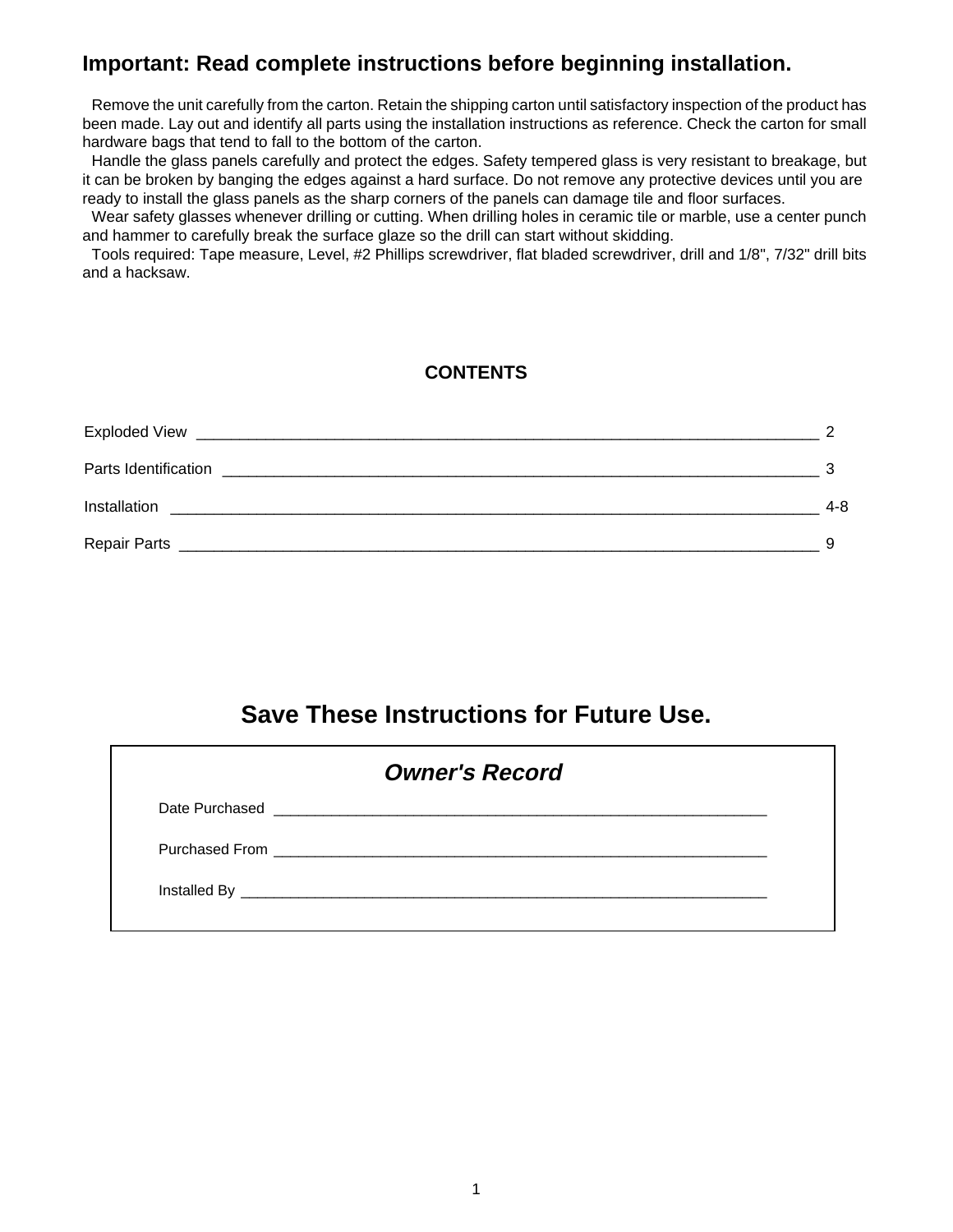## **Important: Read complete instructions before beginning installation.**

Remove the unit carefully from the carton. Retain the shipping carton until satisfactory inspection of the product has been made. Lay out and identify all parts using the installation instructions as reference. Check the carton for small hardware bags that tend to fall to the bottom of the carton.

Handle the glass panels carefully and protect the edges. Safety tempered glass is very resistant to breakage, but it can be broken by banging the edges against a hard surface. Do not remove any protective devices until you are ready to install the glass panels as the sharp corners of the panels can damage tile and floor surfaces.

Wear safety glasses whenever drilling or cutting. When drilling holes in ceramic tile or marble, use a center punch and hammer to carefully break the surface glaze so the drill can start without skidding.

Tools required: Tape measure, Level, #2 Phillips screwdriver, flat bladed screwdriver, drill and 1/8", 7/32" drill bits and a hacksaw.

#### **CONTENTS**

| Exploded View                                                                       |         |
|-------------------------------------------------------------------------------------|---------|
| Parts Identification<br><u> 1990 - Johann Barbara, martxar argametar (h. 1982).</u> |         |
| Installation                                                                        | $4 - 8$ |
| Repair Parts                                                                        |         |

# **Save These Instructions for Future Use.**

| <b>Owner's Record</b> |                                                                                                                                                                                                                                      |  |  |  |  |  |  |
|-----------------------|--------------------------------------------------------------------------------------------------------------------------------------------------------------------------------------------------------------------------------------|--|--|--|--|--|--|
|                       | Date Purchased <b>Contract Contract Contract Contract Contract Contract Contract Contract Contract Contract Contract Contract Contract Contract Contract Contract Contract Contract Contract Contract Contract Contract Contract</b> |  |  |  |  |  |  |
|                       |                                                                                                                                                                                                                                      |  |  |  |  |  |  |
|                       |                                                                                                                                                                                                                                      |  |  |  |  |  |  |
|                       |                                                                                                                                                                                                                                      |  |  |  |  |  |  |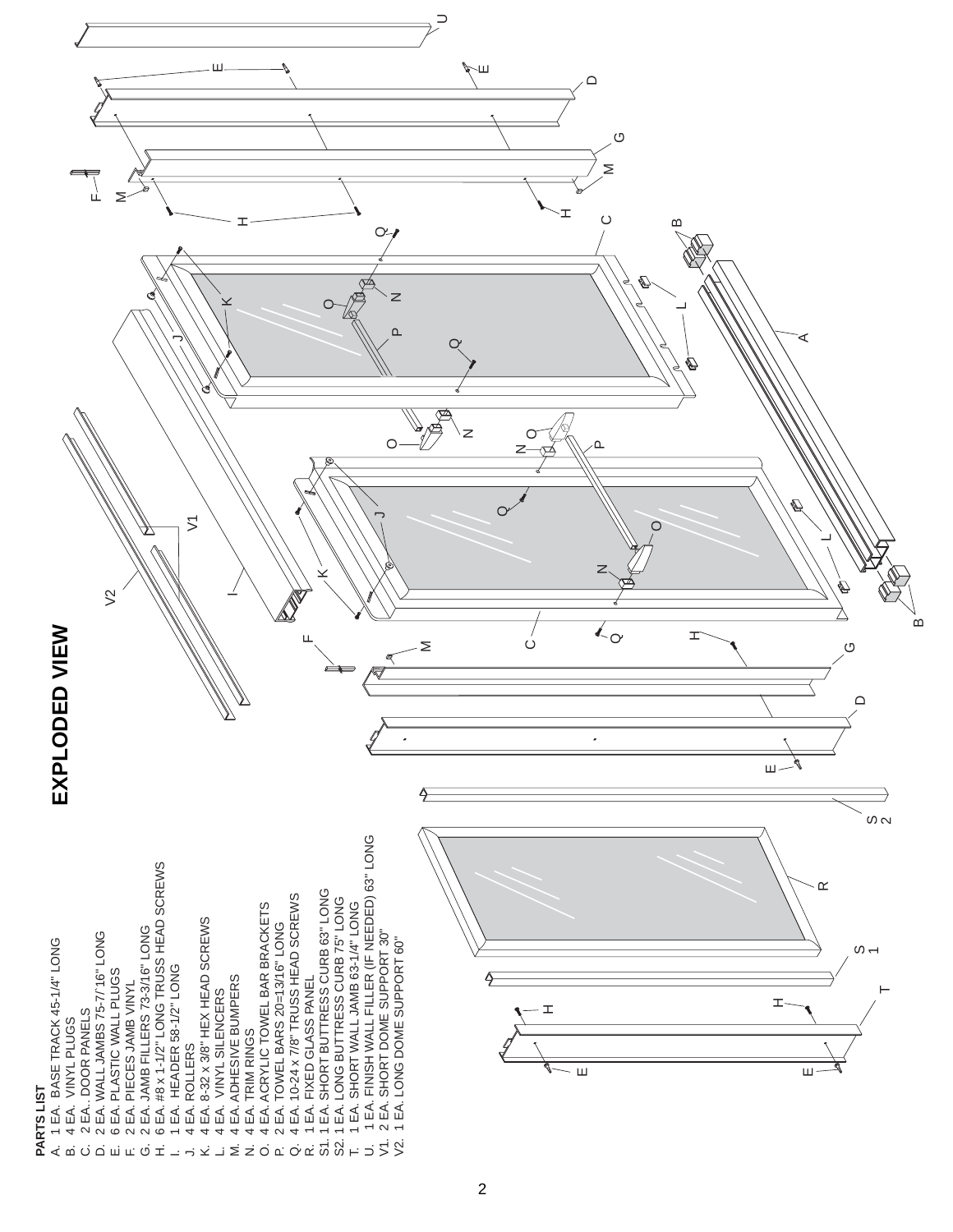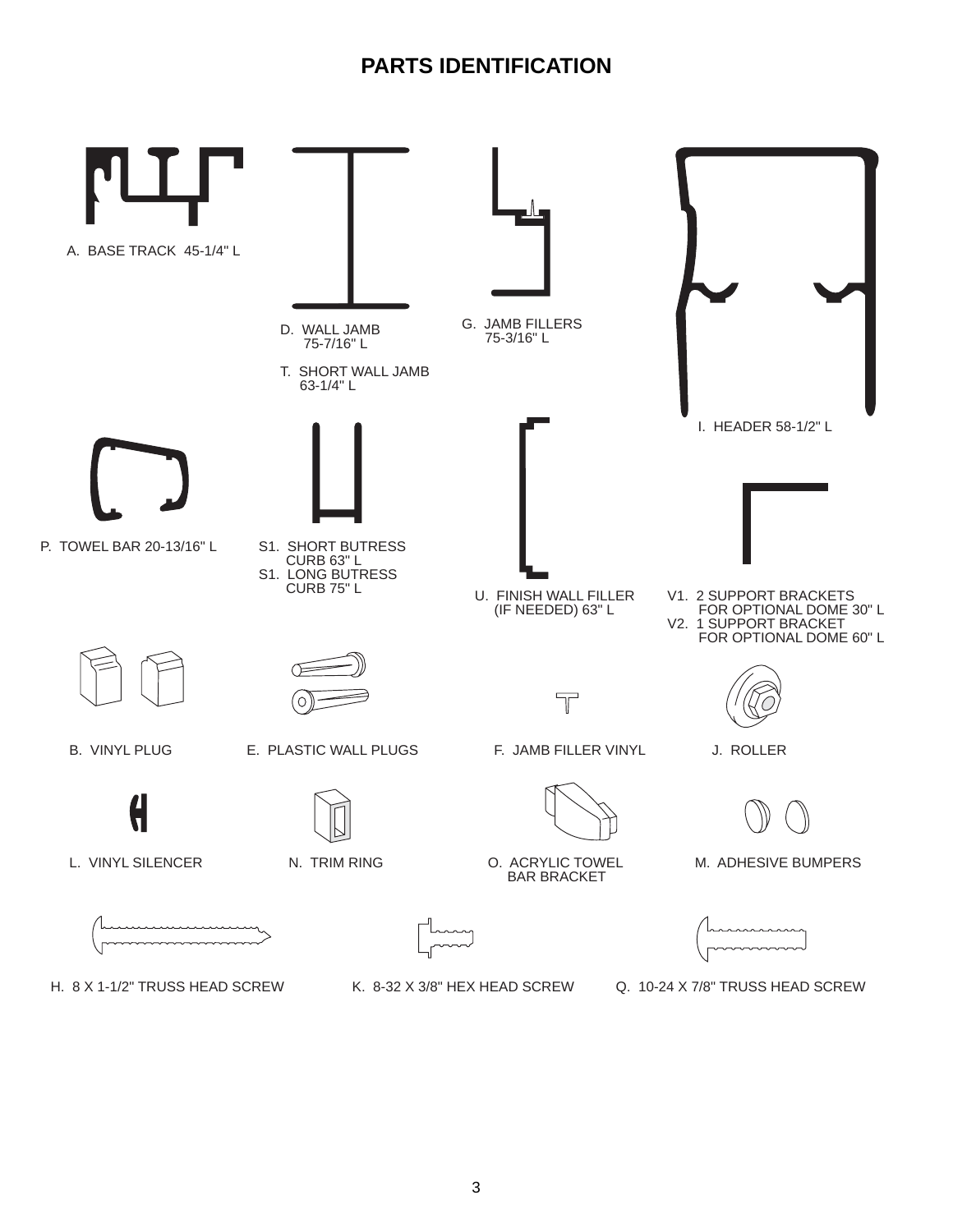# **PARTS IDENTIFICATION**

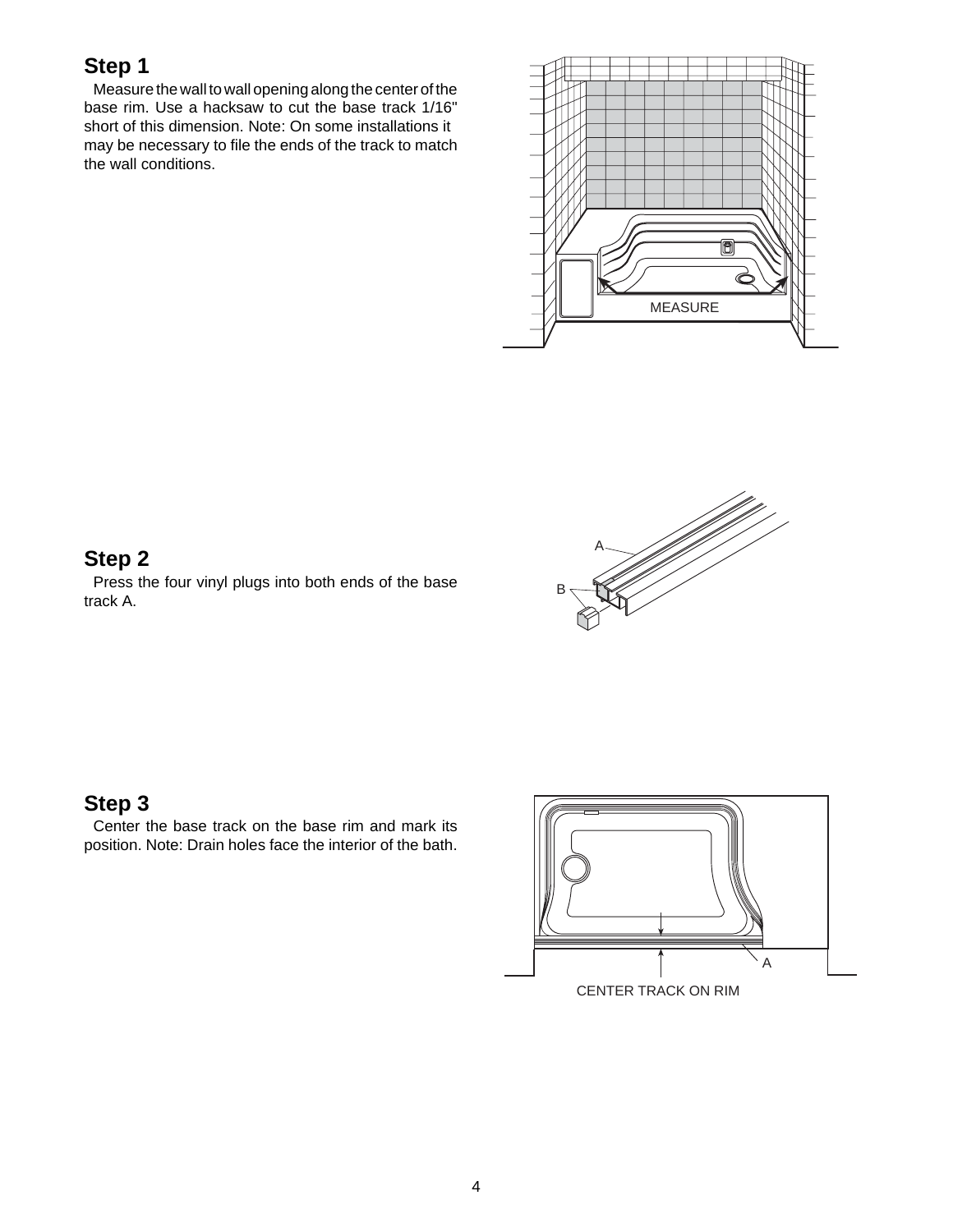Measure the wall to wall opening along the center of the base rim. Use a hacksaw to cut the base track 1/16" short of this dimension. Note: On some installations it may be necessary to file the ends of the track to match the wall conditions.



# **Step 2**

Press the four vinyl plugs into both ends of the base track A.



#### **Step 3**

Center the base track on the base rim and mark its position. Note: Drain holes face the interior of the bath.

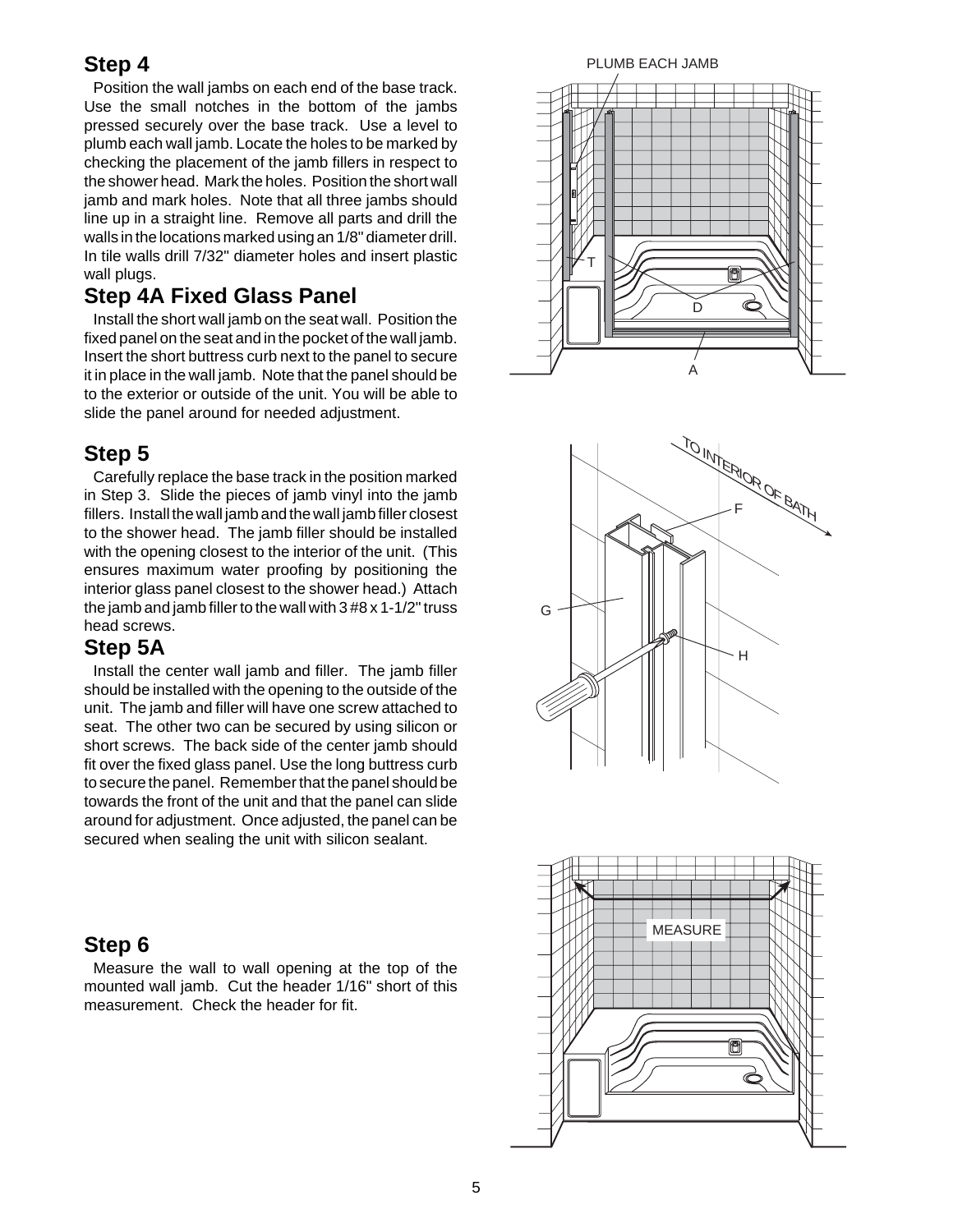Position the wall jambs on each end of the base track. Use the small notches in the bottom of the jambs pressed securely over the base track. Use a level to plumb each wall jamb. Locate the holes to be marked by checking the placement of the jamb fillers in respect to the shower head. Mark the holes. Position the short wall jamb and mark holes. Note that all three jambs should line up in a straight line. Remove all parts and drill the walls in the locations marked using an 1/8" diameter drill. In tile walls drill 7/32" diameter holes and insert plastic wall plugs.

#### **Step 4A Fixed Glass Panel**

Install the short wall jamb on the seat wall. Position the fixed panel on the seat and in the pocket of the wall jamb. Insert the short buttress curb next to the panel to secure it in place in the wall jamb. Note that the panel should be to the exterior or outside of the unit. You will be able to slide the panel around for needed adjustment.

## **Step 5**

Carefully replace the base track in the position marked in Step 3. Slide the pieces of jamb vinyl into the jamb fillers. Install the wall jamb and the wall jamb filler closest to the shower head. The jamb filler should be installed with the opening closest to the interior of the unit. (This ensures maximum water proofing by positioning the interior glass panel closest to the shower head.) Attach the jamb and jamb filler to the wall with 3 #8 x 1-1/2" truss head screws.

#### **Step 5A**

Install the center wall jamb and filler. The jamb filler should be installed with the opening to the outside of the unit. The jamb and filler will have one screw attached to seat. The other two can be secured by using silicon or short screws. The back side of the center jamb should fit over the fixed glass panel. Use the long buttress curb to secure the panel. Remember that the panel should be towards the front of the unit and that the panel can slide around for adjustment. Once adjusted, the panel can be secured when sealing the unit with silicon sealant.

#### **Step 6**

Measure the wall to wall opening at the top of the mounted wall jamb. Cut the header 1/16" short of this measurement. Check the header for fit.





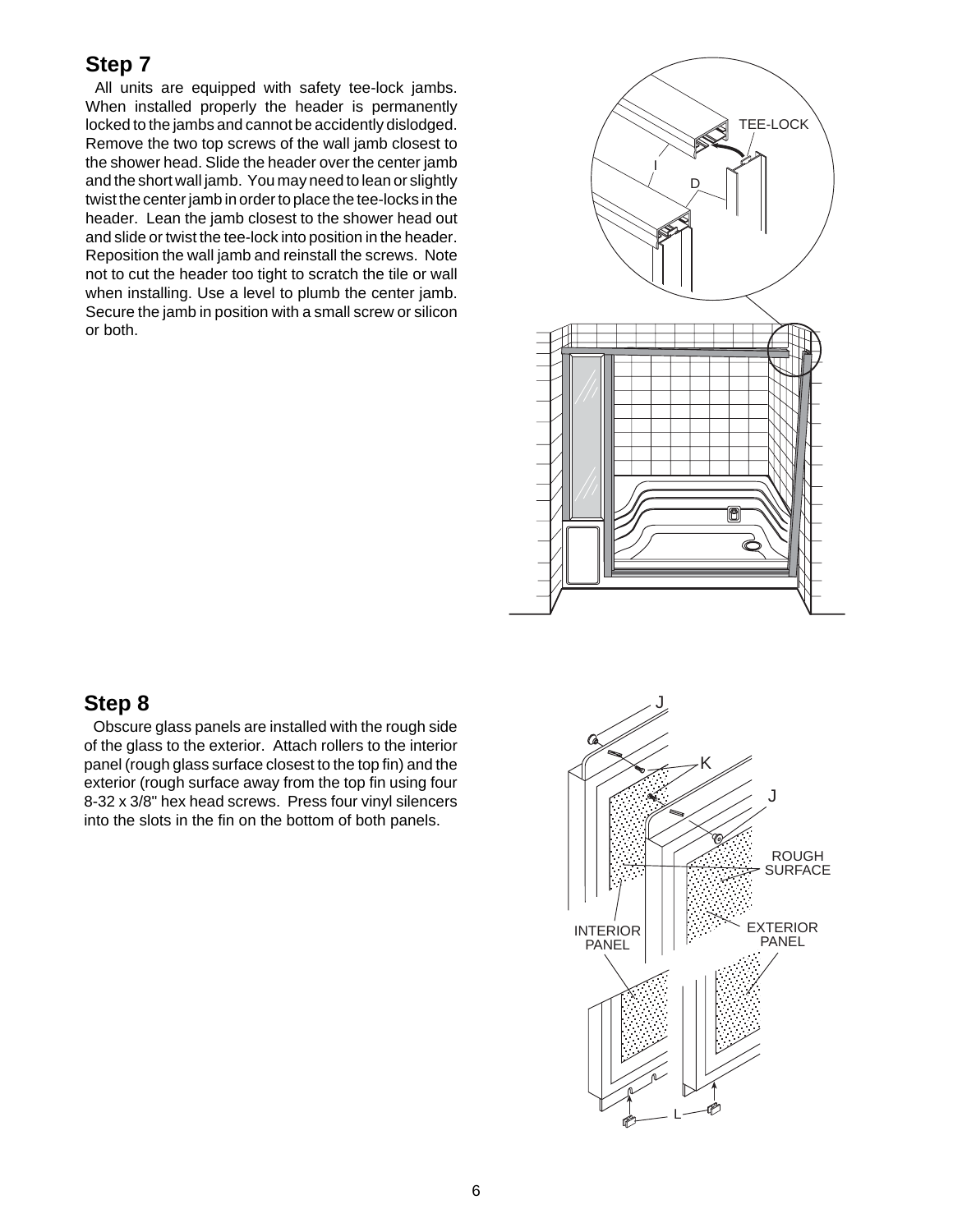All units are equipped with safety tee-lock jambs. When installed properly the header is permanently locked to the jambs and cannot be accidently dislodged. Remove the two top screws of the wall jamb closest to the shower head. Slide the header over the center jamb and the short wall jamb. You may need to lean or slightly twist the center jamb in order to place the tee-locks in the header. Lean the jamb closest to the shower head out and slide or twist the tee-lock into position in the header. Reposition the wall jamb and reinstall the screws. Note not to cut the header too tight to scratch the tile or wall when installing. Use a level to plumb the center jamb. Secure the jamb in position with a small screw or silicon or both.



#### **Step 8**

Obscure glass panels are installed with the rough side of the glass to the exterior. Attach rollers to the interior panel (rough glass surface closest to the top fin) and the exterior (rough surface away from the top fin using four 8-32 x 3/8" hex head screws. Press four vinyl silencers into the slots in the fin on the bottom of both panels.

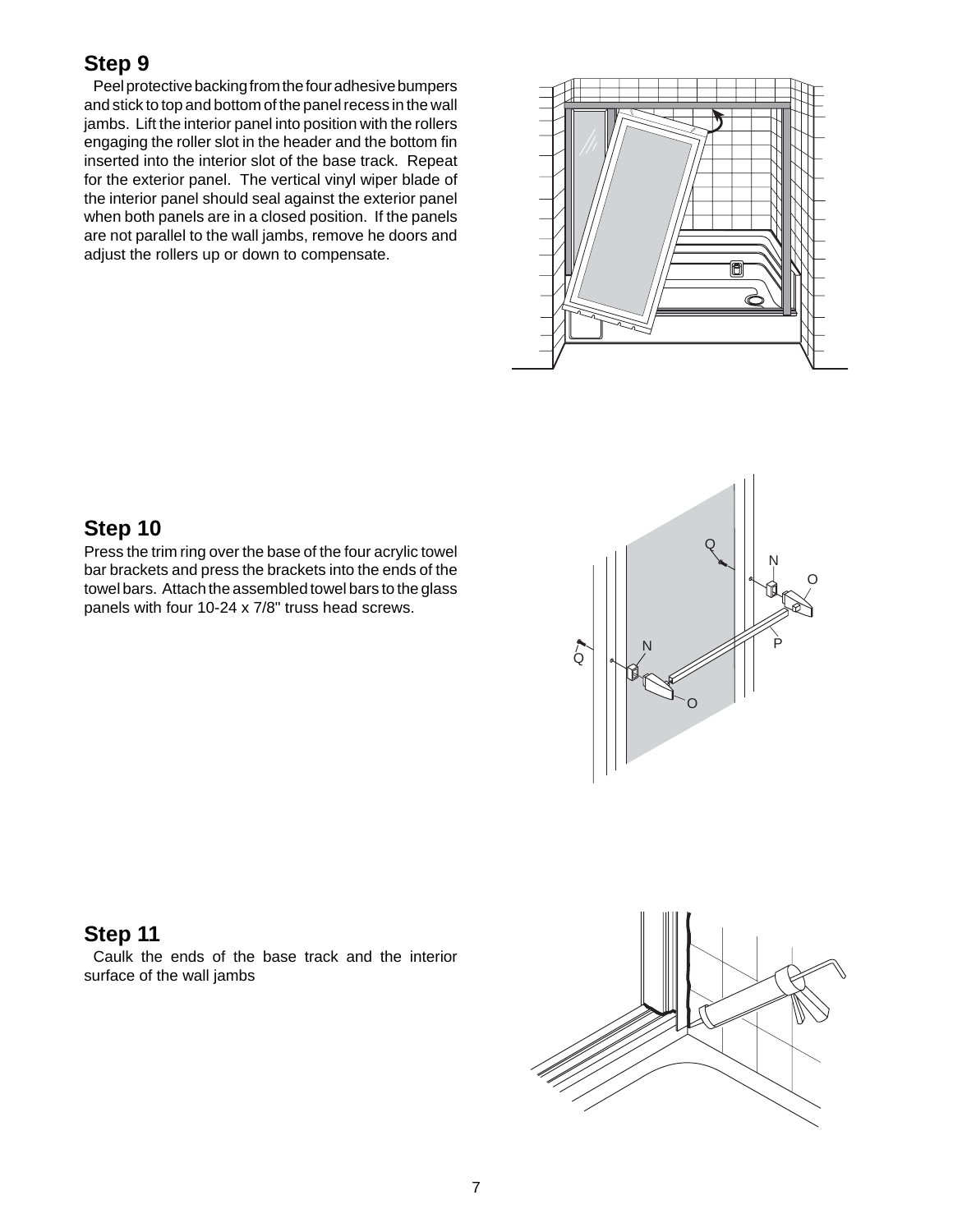Peel protective backing from the four adhesive bumpers and stick to top and bottom of the panel recess in the wall jambs. Lift the interior panel into position with the rollers engaging the roller slot in the header and the bottom fin inserted into the interior slot of the base track. Repeat for the exterior panel. The vertical vinyl wiper blade of the interior panel should seal against the exterior panel when both panels are in a closed position. If the panels are not parallel to the wall jambs, remove he doors and adjust the rollers up or down to compensate.



# **Step 10**

Press the trim ring over the base of the four acrylic towel bar brackets and press the brackets into the ends of the towel bars. Attach the assembled towel bars to the glass panels with four 10-24 x 7/8" truss head screws.



#### **Step 11**

Caulk the ends of the base track and the interior surface of the wall jambs

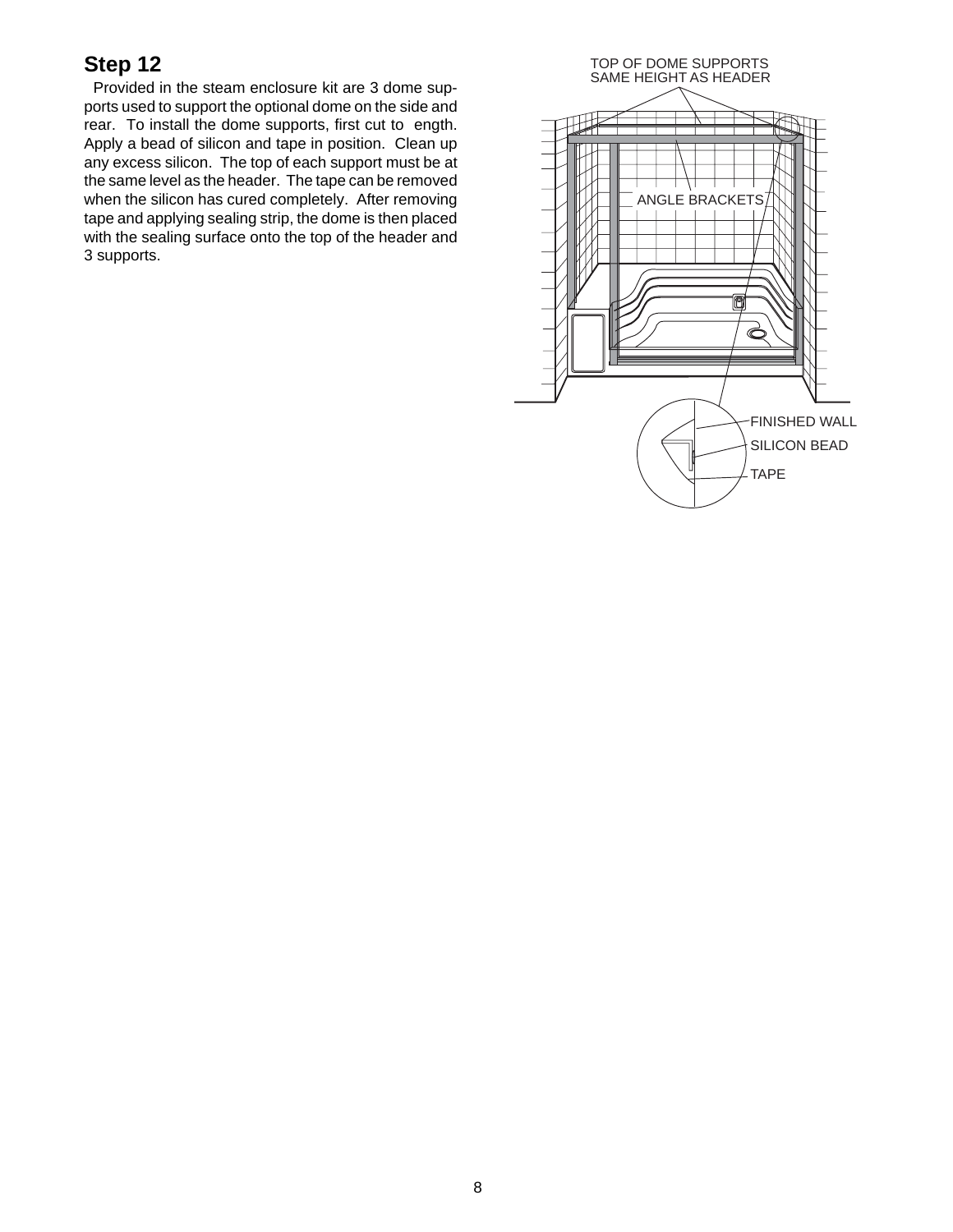Provided in the steam enclosure kit are 3 dome supports used to support the optional dome on the side and rear. To install the dome supports, first cut to ength. Apply a bead of silicon and tape in position. Clean up any excess silicon. The top of each support must be at the same level as the header. The tape can be removed when the silicon has cured completely. After removing tape and applying sealing strip, the dome is then placed with the sealing surface onto the top of the header and 3 supports.

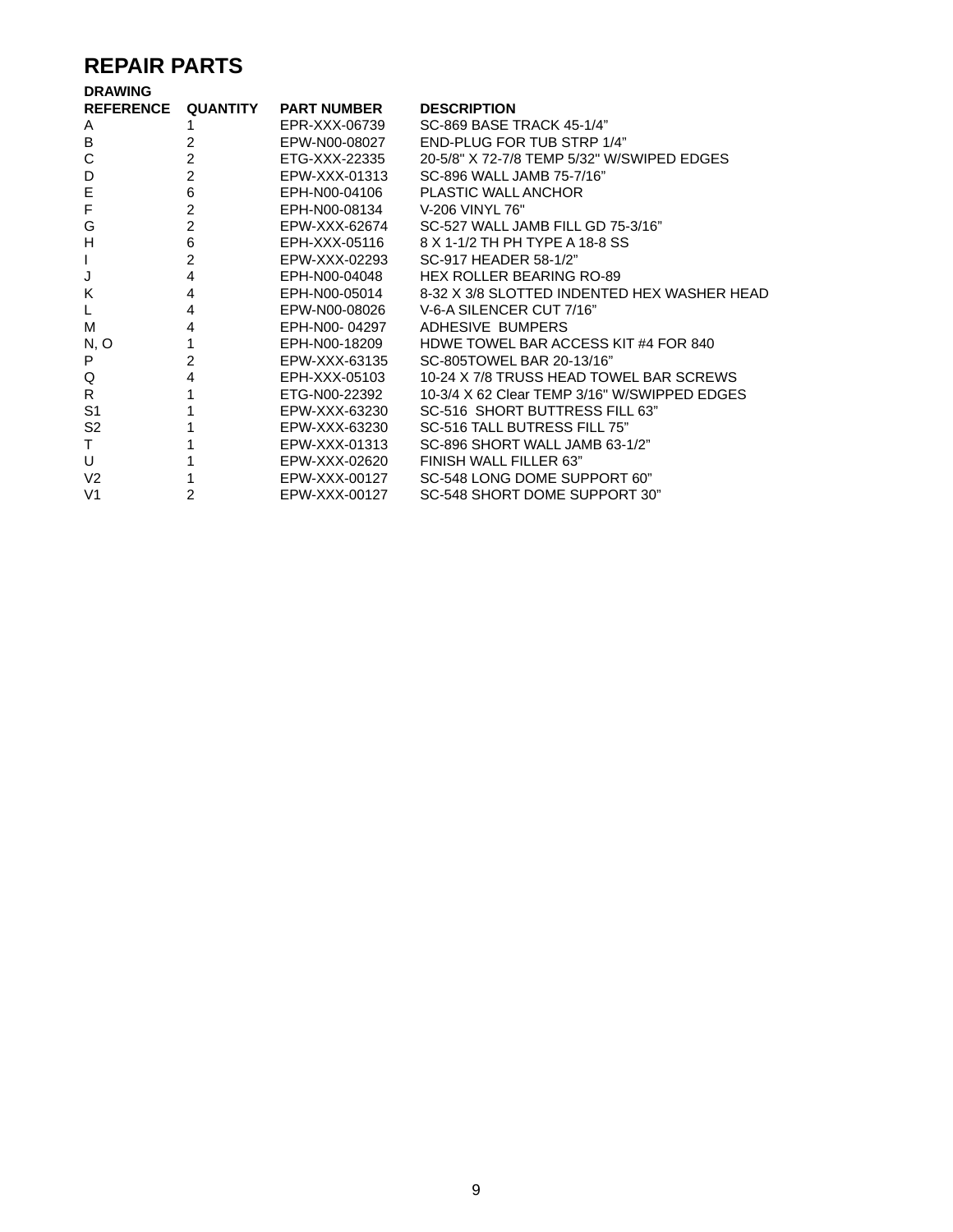# **REPAIR PARTS**

| <b>REFERENCE QUANTITY</b> |                | <b>PART NUMBER</b> | <b>DESCRIPTION</b>                           |
|---------------------------|----------------|--------------------|----------------------------------------------|
| A                         |                | EPR-XXX-06739      | SC-869 BASE TRACK 45-1/4"                    |
| B                         | 2              | EPW-N00-08027      | <b>END-PLUG FOR TUB STRP 1/4"</b>            |
| C                         | $\overline{2}$ | ETG-XXX-22335      | 20-5/8" X 72-7/8 TEMP 5/32" W/SWIPED EDGES   |
| D                         | $\overline{2}$ | EPW-XXX-01313      | SC-896 WALL JAMB 75-7/16"                    |
| E                         | 6              | EPH-N00-04106      | <b>PLASTIC WALL ANCHOR</b>                   |
| F                         | $\overline{c}$ | EPH-N00-08134      | V-206 VINYL 76"                              |
| G                         | $\overline{2}$ | EPW-XXX-62674      | SC-527 WALL JAMB FILL GD 75-3/16"            |
| H                         | 6              | EPH-XXX-05116      | 8 X 1-1/2 TH PH TYPE A 18-8 SS               |
| ı                         | $\overline{2}$ | EPW-XXX-02293      | SC-917 HEADER 58-1/2"                        |
| J                         | 4              | EPH-N00-04048      | HEX ROLLER BEARING RO-89                     |
| K                         | 4              | EPH-N00-05014      | 8-32 X 3/8 SLOTTED INDENTED HEX WASHER HEAD  |
|                           | 4              |                    | EPW-N00-08026 V-6-A SILENCER CUT 7/16"       |
| м                         | 4              | EPH-N00-04297      | ADHESIVE BUMPERS                             |
| N, O                      |                | EPH-N00-18209      | HDWE TOWEL BAR ACCESS KIT #4 FOR 840         |
| P                         | $\overline{2}$ | EPW-XXX-63135      | SC-805TOWEL BAR 20-13/16"                    |
| Q                         | 4              | EPH-XXX-05103      | 10-24 X 7/8 TRUSS HEAD TOWEL BAR SCREWS      |
| R.                        |                | ETG-N00-22392      | 10-3/4 X 62 Clear TEMP 3/16" W/SWIPPED EDGES |
| S <sub>1</sub>            |                | EPW-XXX-63230      | SC-516 SHORT BUTTRESS FILL 63"               |
| S <sub>2</sub>            |                | EPW-XXX-63230      | SC-516 TALL BUTRESS FILL 75"                 |
| т                         |                | EPW-XXX-01313      | SC-896 SHORT WALL JAMB 63-1/2"               |
| U                         |                | EPW-XXX-02620      | FINISH WALL FILLER 63"                       |
| V <sub>2</sub>            |                | EPW-XXX-00127      | SC-548 LONG DOME SUPPORT 60"                 |
| V <sub>1</sub>            | 2              | EPW-XXX-00127      | SC-548 SHORT DOME SUPPORT 30"                |